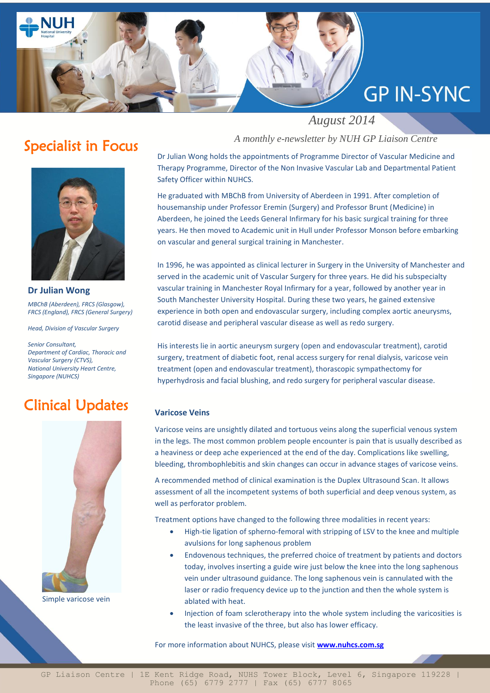

### Specialist in Focus



**Dr Julian Wong** *MBChB (Aberdeen), FRCS (Glasgow), FRCS (England), FRCS (General Surgery)*

*Head, Division of Vascular Surgery*

*Senior Consultant, Department of Cardiac, Thoracic and Vascular Surgery (CTVS), National University Heart Centre, Singapore (NUHCS)*

# Clinical Updates



Simple varicose vein

#### *A monthly e-newsletter by NUH GP Liaison Centre*

Dr Julian Wong holds the appointments of Programme Director of Vascular Medicine and Therapy Programme, Director of the Non Invasive Vascular Lab and Departmental Patient Safety Officer within NUHCS.

He graduated with MBChB from University of Aberdeen in 1991. After completion of housemanship under Professor Eremin (Surgery) and Professor Brunt (Medicine) in Aberdeen, he joined the Leeds General Infirmary for his basic surgical training for three years. He then moved to Academic unit in Hull under Professor Monson before embarking on vascular and general surgical training in Manchester.

In 1996, he was appointed as clinical lecturer in Surgery in the University of Manchester and served in the academic unit of Vascular Surgery for three years. He did his subspecialty vascular training in Manchester Royal Infirmary for a year, followed by another year in South Manchester University Hospital. During these two years, he gained extensive experience in both open and endovascular surgery, including complex aortic aneurysms, carotid disease and peripheral vascular disease as well as redo surgery.

His interests lie in aortic aneurysm surgery (open and endovascular treatment), carotid surgery, treatment of diabetic foot, renal access surgery for renal dialysis, varicose vein treatment (open and endovascular treatment), thorascopic sympathectomy for hyperhydrosis and facial blushing, and redo surgery for peripheral vascular disease.

#### **Varicose Veins**

Varicose veins are unsightly dilated and tortuous veins along the superficial venous system in the legs. The most common problem people encounter is pain that is usually described as a heaviness or deep ache experienced at the end of the day. Complications like swelling, bleeding, thrombophlebitis and skin changes can occur in advance stages of varicose veins.

A recommended method of clinical examination is the Duplex Ultrasound Scan. It allows assessment of all the incompetent systems of both superficial and deep venous system, as well as perforator problem.

Treatment options have changed to the following three modalities in recent years:

- High-tie ligation of spherno-femoral with stripping of LSV to the knee and multiple avulsions for long saphenous problem
- Endovenous techniques, the preferred choice of treatment by patients and doctors today, involves inserting a guide wire just below the knee into the long saphenous vein under ultrasound guidance. The long saphenous vein is cannulated with the laser or radio frequency device up to the junction and then the whole system is ablated with heat.
- Injection of foam sclerotherapy into the whole system including the varicosities is the least invasive of the three, but also has lower efficacy.

For more information about NUHCS, please visit **<www.nuhcs.com.sg>**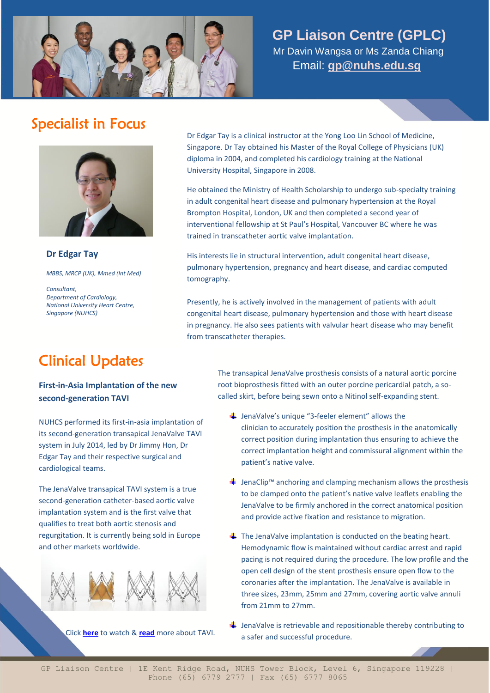

#### **GP Liaison Centre (GPLC)**

 Mr Davin Wangsa or Ms Zanda Chiang Email: **[gp@nuhs.edu.sg](mailto:gp@nuhs.edu.sg)**

## Specialist in Focus



**Dr Edgar Tay**

*MBBS, MRCP (UK), Mmed (Int Med)*

*Consultant, Department of Cardiology, National University Heart Centre, Singapore (NUHCS)*

Dr Edgar Tay is a clinical instructor at the Yong Loo Lin School of Medicine, Singapore. Dr Tay obtained his Master of the Royal College of Physicians (UK) diploma in 2004, and completed his cardiology training at the National University Hospital, Singapore in 2008.

He obtained the Ministry of Health Scholarship to undergo sub-specialty training in adult congenital heart disease and pulmonary hypertension at the Royal Brompton Hospital, London, UK and then completed a second year of interventional fellowship at St Paul's Hospital, Vancouver BC where he was trained in transcatheter aortic valve implantation.

His interests lie in structural intervention, adult congenital heart disease, pulmonary hypertension, pregnancy and heart disease, and cardiac computed tomography.

Presently, he is actively involved in the management of patients with adult congenital heart disease, pulmonary hypertension and those with heart disease in pregnancy. He also sees patients with valvular heart disease who may benefit from transcatheter therapies.

## Clinical Updates

#### **First-in-Asia Implantation of the new second-generation TAVI**

NUHCS performed its first-in-asia implantation of its second-generation transapical JenaValve TAVI system in July 2014, led by Dr Jimmy Hon, Dr Edgar Tay and their respective surgical and cardiological teams.

The JenaValve transapical TAVI system is a true second-generation catheter-based aortic valve implantation system and is the first valve that qualifies to treat both aortic stenosis and regurgitation. It is currently being sold in Europe and other markets worldwide.



The transapical JenaValve prosthesis consists of a natural aortic porcine root bioprosthesis fitted with an outer porcine pericardial patch, a socalled skirt, before being sewn onto a Nitinol self-expanding stent.

- $\frac{1}{2}$  JenaValve's unique "3-feeler element" allows the clinician to accurately position the prosthesis in the anatomically correct position during implantation thus ensuring to achieve the correct implantation height and commissural alignment within the patient's native valve.
- JenaClip™ anchoring and clamping mechanism allows the prosthesis to be clamped onto the patient's native valve leaflets enabling the JenaValve to be firmly anchored in the correct anatomical position and provide active fixation and resistance to migration.
- $\ddot{+}$  The JenaValve implantation is conducted on the beating heart. Hemodynamic flow is maintained without cardiac arrest and rapid pacing is not required during the procedure. The low profile and the open cell design of the stent prosthesis ensure open flow to the coronaries after the implantation. The JenaValve is available in three sizes, 23mm, 25mm and 27mm, covering aortic valve annuli from 21mm to 27mm.
- $\ddagger$  JenaValve is retrievable and repositionable thereby contributing to a safer and successful procedure.

Click **[here](http://www.youtube.com/watch?v=F9v1LewMdvs&feature=youtu.be)** to watch & **[read](http://www.nuhcs.com.sg/wbn/slot/u3192/Brochures/TAVI.pdf)** more about TAVI.